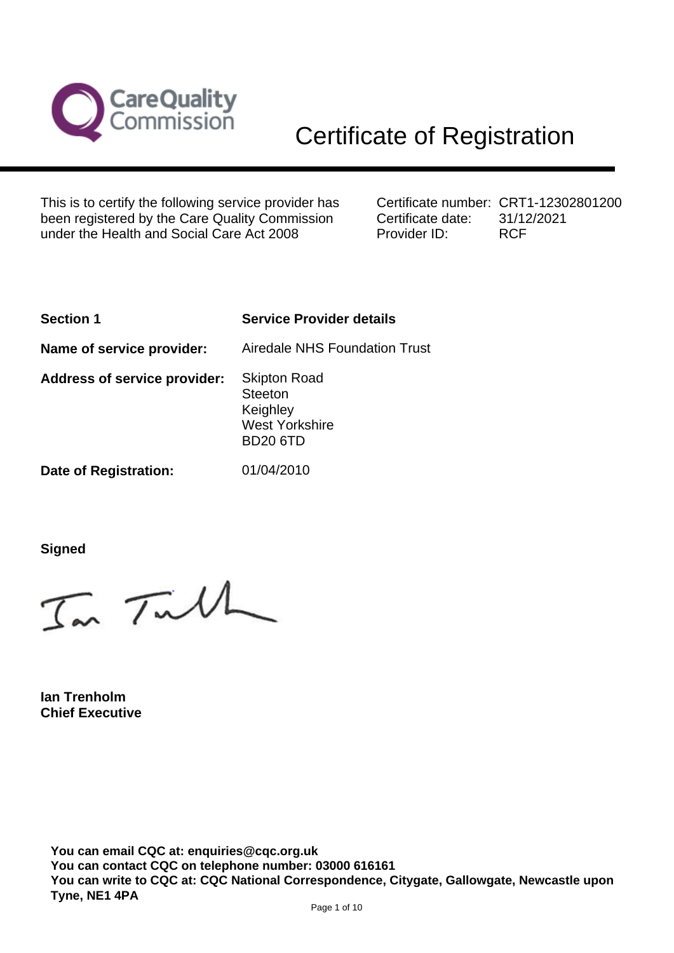

This is to certify the following service provider has been registered by the Care Quality Commission under the Health and Social Care Act 2008

Certificate number: CRT1-12302801200 Certificate date: Provider ID: 31/12/2021 RCF

| <b>Service Provider details</b>                                                               |
|-----------------------------------------------------------------------------------------------|
| <b>Airedale NHS Foundation Trust</b>                                                          |
| <b>Skipton Road</b><br><b>Steeton</b><br>Keighley<br><b>West Yorkshire</b><br><b>BD20 6TD</b> |
| 01/04/2010                                                                                    |
|                                                                                               |

**Signed**

In Tulh

**Ian Trenholm Chief Executive**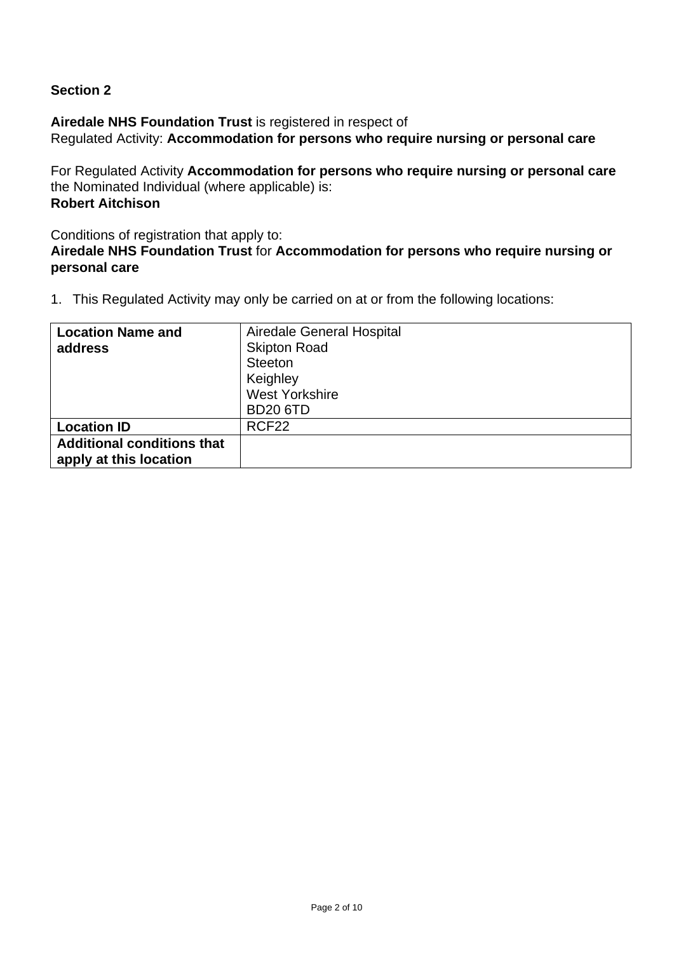# **Section 2**

**Airedale NHS Foundation Trust** is registered in respect of

Regulated Activity: **Accommodation for persons who require nursing or personal care**

For Regulated Activity **Accommodation for persons who require nursing or personal care** the Nominated Individual (where applicable) is: **Robert Aitchison**

Conditions of registration that apply to:

## **Airedale NHS Foundation Trust** for **Accommodation for persons who require nursing or personal care**

| <b>Location Name and</b>          | Airedale General Hospital |
|-----------------------------------|---------------------------|
| address                           | <b>Skipton Road</b>       |
|                                   | <b>Steeton</b>            |
|                                   | Keighley                  |
|                                   | <b>West Yorkshire</b>     |
|                                   | <b>BD20 6TD</b>           |
| <b>Location ID</b>                | RCF <sub>22</sub>         |
| <b>Additional conditions that</b> |                           |
| apply at this location            |                           |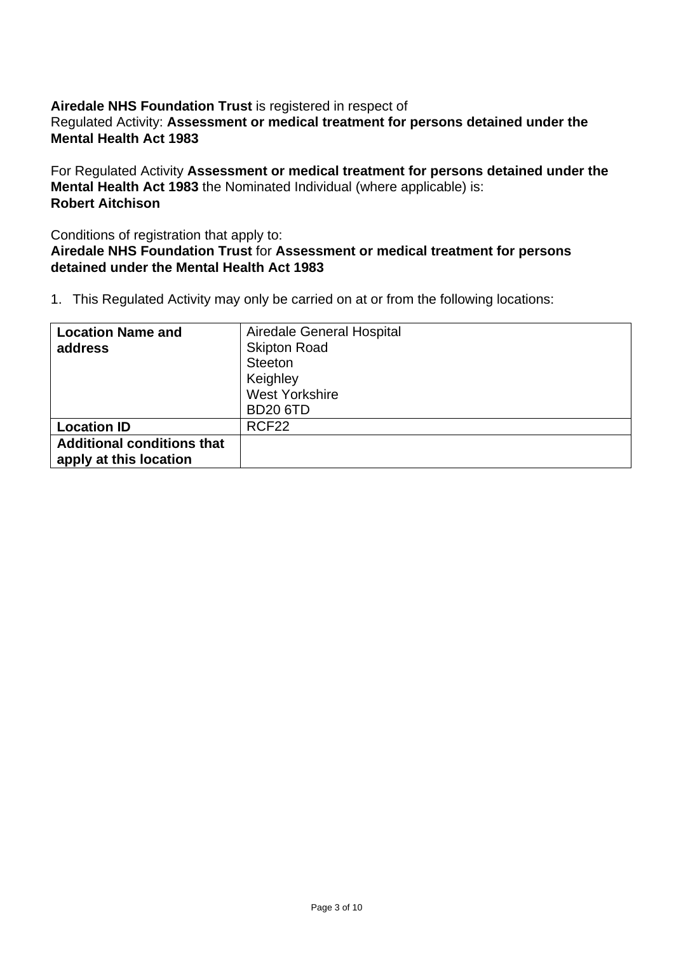### **Airedale NHS Foundation Trust** is registered in respect of Regulated Activity: **Assessment or medical treatment for persons detained under the Mental Health Act 1983**

For Regulated Activity **Assessment or medical treatment for persons detained under the Mental Health Act 1983** the Nominated Individual (where applicable) is: **Robert Aitchison**

#### Conditions of registration that apply to: **Airedale NHS Foundation Trust** for **Assessment or medical treatment for persons detained under the Mental Health Act 1983**

| <b>Location Name and</b>          | Airedale General Hospital |
|-----------------------------------|---------------------------|
| address                           | <b>Skipton Road</b>       |
|                                   | Steeton                   |
|                                   | Keighley                  |
|                                   | <b>West Yorkshire</b>     |
|                                   | <b>BD20 6TD</b>           |
| <b>Location ID</b>                | RCF <sub>22</sub>         |
| <b>Additional conditions that</b> |                           |
| apply at this location            |                           |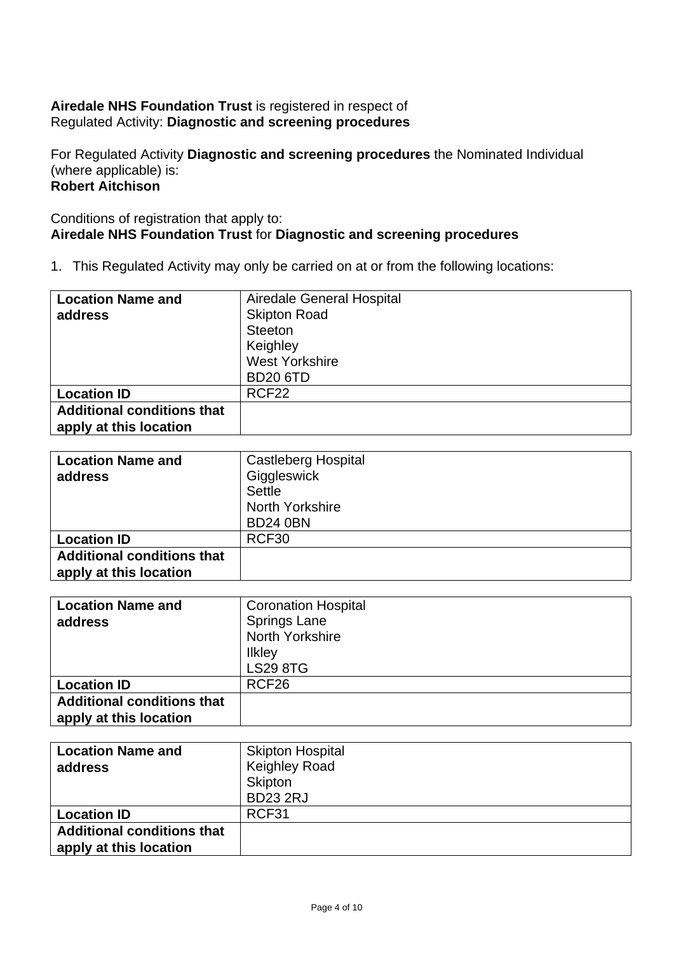## **Airedale NHS Foundation Trust** is registered in respect of Regulated Activity: **Diagnostic and screening procedures**

For Regulated Activity **Diagnostic and screening procedures** the Nominated Individual (where applicable) is: **Robert Aitchison**

## Conditions of registration that apply to: **Airedale NHS Foundation Trust** for **Diagnostic and screening procedures**

| <b>Location Name and</b>          | Airedale General Hospital |
|-----------------------------------|---------------------------|
| address                           | <b>Skipton Road</b>       |
|                                   | Steeton                   |
|                                   | Keighley                  |
|                                   | <b>West Yorkshire</b>     |
|                                   | <b>BD20 6TD</b>           |
| <b>Location ID</b>                | RCF <sub>22</sub>         |
| <b>Additional conditions that</b> |                           |
| apply at this location            |                           |

| <b>Location Name and</b>          | <b>Castleberg Hospital</b> |
|-----------------------------------|----------------------------|
| address                           | Giggleswick                |
|                                   | Settle                     |
|                                   | North Yorkshire            |
|                                   | <b>BD24 0BN</b>            |
| <b>Location ID</b>                | RCF30                      |
| <b>Additional conditions that</b> |                            |
| apply at this location            |                            |

| <b>Location Name and</b>          | <b>Coronation Hospital</b> |
|-----------------------------------|----------------------------|
| address                           | <b>Springs Lane</b>        |
|                                   | <b>North Yorkshire</b>     |
|                                   | <b>Ilkley</b>              |
|                                   | <b>LS29 8TG</b>            |
| <b>Location ID</b>                | RCF <sub>26</sub>          |
| <b>Additional conditions that</b> |                            |
| apply at this location            |                            |

| <b>Location Name and</b>                                    | <b>Skipton Hospital</b> |
|-------------------------------------------------------------|-------------------------|
| address                                                     | <b>Keighley Road</b>    |
|                                                             | Skipton                 |
|                                                             | <b>BD23 2RJ</b>         |
| <b>Location ID</b>                                          | RCF31                   |
| <b>Additional conditions that</b><br>apply at this location |                         |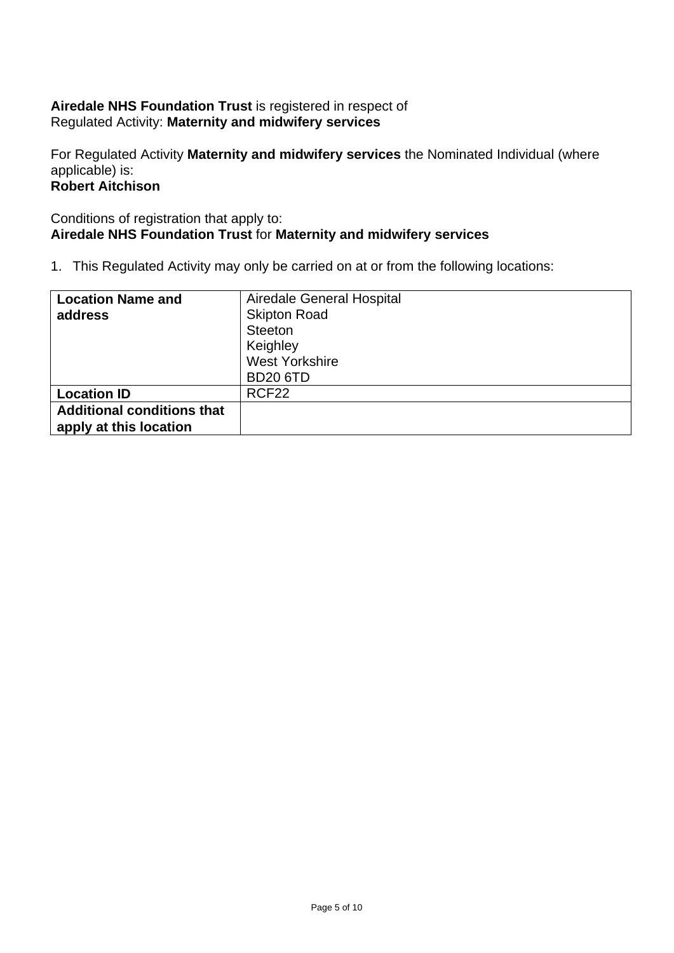## **Airedale NHS Foundation Trust** is registered in respect of Regulated Activity: **Maternity and midwifery services**

For Regulated Activity **Maternity and midwifery services** the Nominated Individual (where applicable) is: **Robert Aitchison**

## Conditions of registration that apply to: **Airedale NHS Foundation Trust** for **Maternity and midwifery services**

| <b>Location Name and</b>          | Airedale General Hospital |
|-----------------------------------|---------------------------|
| address                           | <b>Skipton Road</b>       |
|                                   | Steeton                   |
|                                   | Keighley                  |
|                                   | <b>West Yorkshire</b>     |
|                                   | <b>BD20 6TD</b>           |
| <b>Location ID</b>                | RCF <sub>22</sub>         |
| <b>Additional conditions that</b> |                           |
| apply at this location            |                           |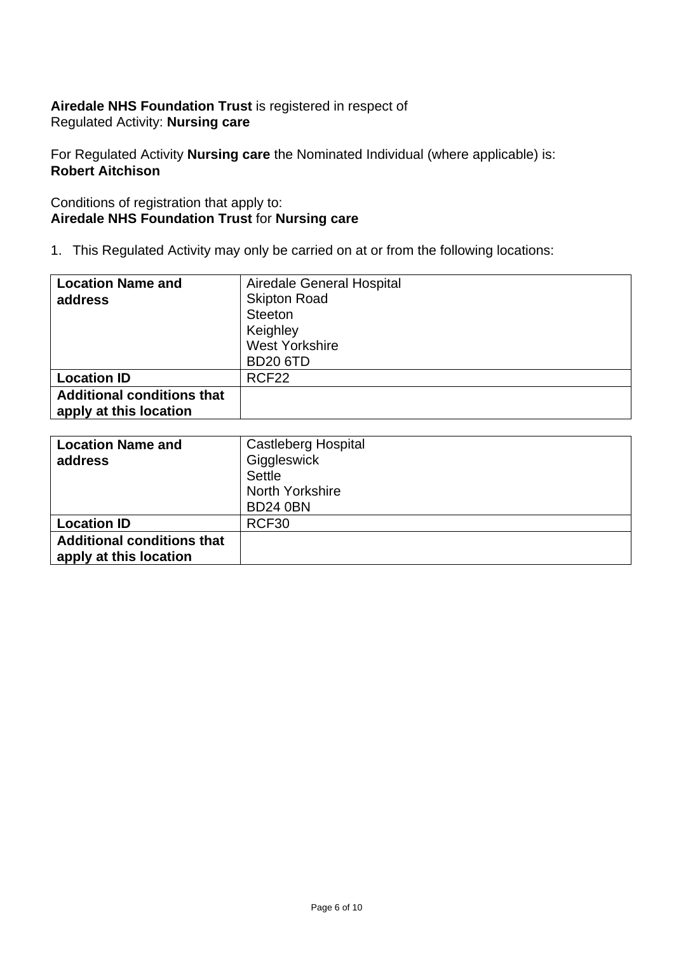## **Airedale NHS Foundation Trust** is registered in respect of Regulated Activity: **Nursing care**

For Regulated Activity **Nursing care** the Nominated Individual (where applicable) is: **Robert Aitchison**

## Conditions of registration that apply to: **Airedale NHS Foundation Trust** for **Nursing care**

| <b>Location Name and</b>          | Airedale General Hospital |
|-----------------------------------|---------------------------|
| address                           | <b>Skipton Road</b>       |
|                                   | Steeton                   |
|                                   | Keighley                  |
|                                   | <b>West Yorkshire</b>     |
|                                   | <b>BD20 6TD</b>           |
| <b>Location ID</b>                | RCF <sub>22</sub>         |
| <b>Additional conditions that</b> |                           |
| apply at this location            |                           |

| <b>Location Name and</b><br>address                         | <b>Castleberg Hospital</b><br>Giggleswick<br><b>Settle</b><br>North Yorkshire |
|-------------------------------------------------------------|-------------------------------------------------------------------------------|
|                                                             | <b>BD24 0BN</b>                                                               |
| <b>Location ID</b>                                          | RCF30                                                                         |
| <b>Additional conditions that</b><br>apply at this location |                                                                               |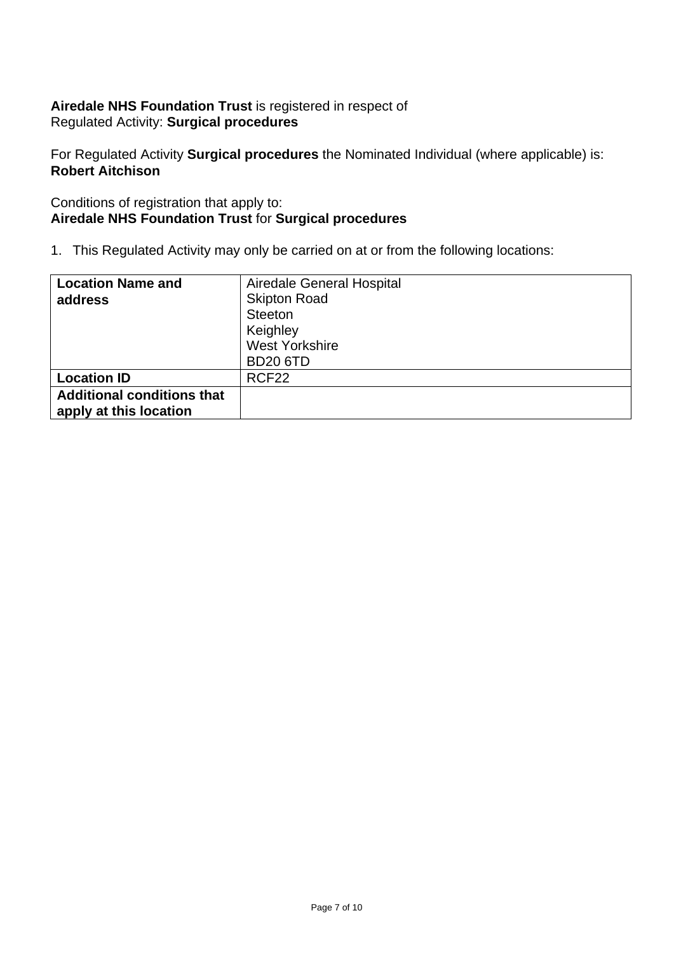## **Airedale NHS Foundation Trust** is registered in respect of Regulated Activity: **Surgical procedures**

For Regulated Activity **Surgical procedures** the Nominated Individual (where applicable) is: **Robert Aitchison**

## Conditions of registration that apply to: **Airedale NHS Foundation Trust** for **Surgical procedures**

| <b>Location Name and</b>          | Airedale General Hospital |
|-----------------------------------|---------------------------|
| address                           | <b>Skipton Road</b>       |
|                                   | Steeton                   |
|                                   | Keighley                  |
|                                   | <b>West Yorkshire</b>     |
|                                   | <b>BD20 6TD</b>           |
| <b>Location ID</b>                | RCF <sub>22</sub>         |
| <b>Additional conditions that</b> |                           |
| apply at this location            |                           |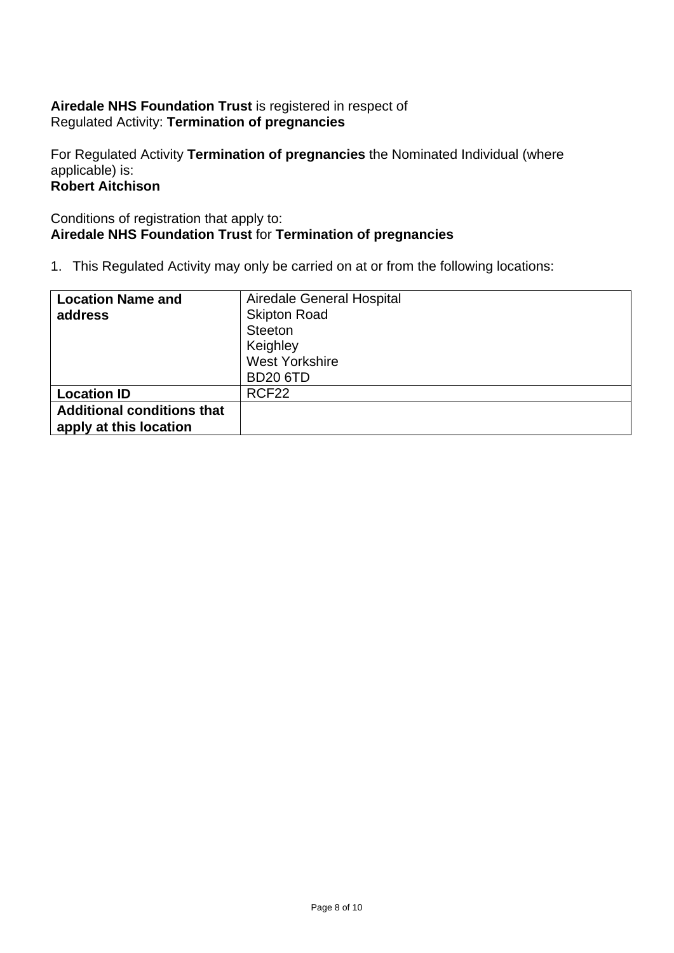## **Airedale NHS Foundation Trust** is registered in respect of Regulated Activity: **Termination of pregnancies**

For Regulated Activity **Termination of pregnancies** the Nominated Individual (where applicable) is: **Robert Aitchison**

## Conditions of registration that apply to: **Airedale NHS Foundation Trust** for **Termination of pregnancies**

| <b>Location Name and</b>          | Airedale General Hospital |
|-----------------------------------|---------------------------|
| address                           | <b>Skipton Road</b>       |
|                                   | Steeton                   |
|                                   | Keighley                  |
|                                   | <b>West Yorkshire</b>     |
|                                   | <b>BD20 6TD</b>           |
| <b>Location ID</b>                | RCF <sub>22</sub>         |
| <b>Additional conditions that</b> |                           |
| apply at this location            |                           |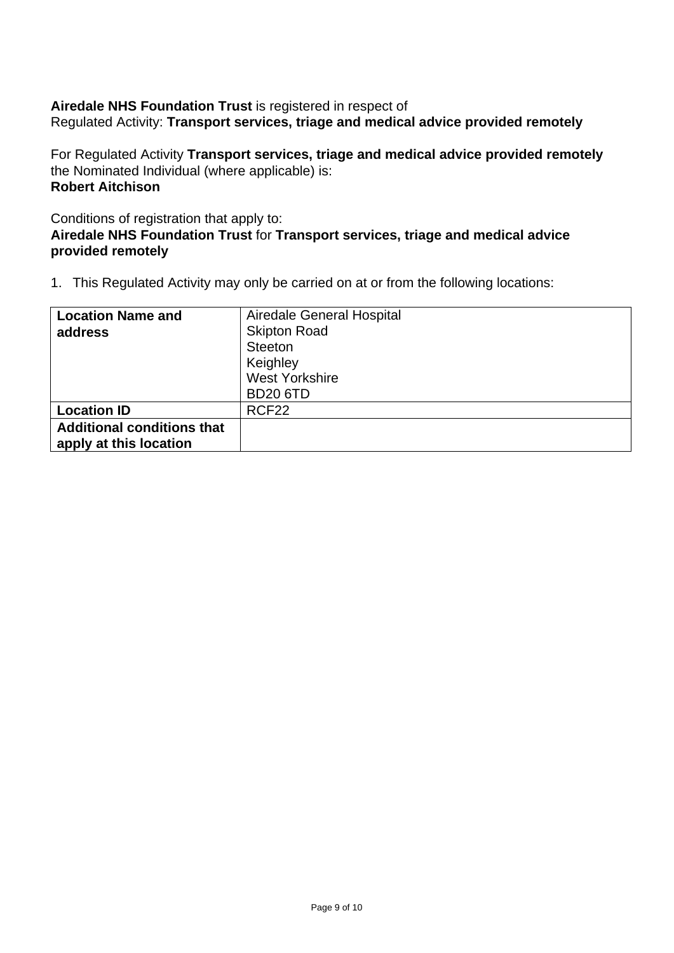#### **Airedale NHS Foundation Trust** is registered in respect of Regulated Activity: **Transport services, triage and medical advice provided remotely**

For Regulated Activity **Transport services, triage and medical advice provided remotely** the Nominated Individual (where applicable) is: **Robert Aitchison**

Conditions of registration that apply to:

## **Airedale NHS Foundation Trust** for **Transport services, triage and medical advice provided remotely**

| <b>Location Name and</b>          | Airedale General Hospital |
|-----------------------------------|---------------------------|
| address                           | <b>Skipton Road</b>       |
|                                   | Steeton                   |
|                                   | Keighley                  |
|                                   | <b>West Yorkshire</b>     |
|                                   | <b>BD20 6TD</b>           |
| <b>Location ID</b>                | RCF <sub>22</sub>         |
| <b>Additional conditions that</b> |                           |
| apply at this location            |                           |